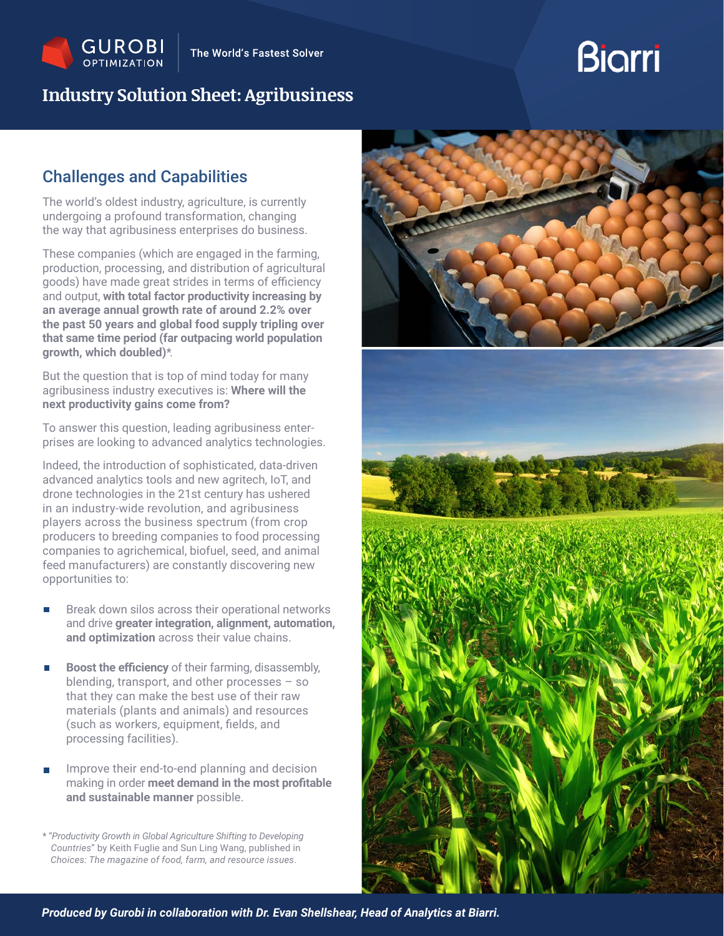## **Industry Solution Sheet: Agribusiness**

# **Biarri**

## Challenges and Capabilities

The world's oldest industry, agriculture, is currently undergoing a profound transformation, changing the way that agribusiness enterprises do business.

These companies (which are engaged in the farming, production, processing, and distribution of agricultural goods) have made great strides in terms of efficiency and output, **with total factor productivity increasing by an average annual growth rate of around 2.2% over the past 50 years and global food supply tripling over that same time period (far outpacing world population growth, which doubled)**\*.

But the question that is top of mind today for many agribusiness industry executives is: **Where will the next productivity gains come from?**

To answer this question, leading agribusiness enterprises are looking to advanced analytics technologies.

Indeed, the introduction of sophisticated, data-driven advanced analytics tools and new agritech, IoT, and drone technologies in the 21st century has ushered in an industry-wide revolution, and agribusiness players across the business spectrum (from crop producers to breeding companies to food processing companies to agrichemical, biofuel, seed, and animal feed manufacturers) are constantly discovering new opportunities to:

- Break down silos across their operational networks and drive **greater integration, alignment, automation, and optimization** across their value chains.
- **Boost the efficiency** of their farming, disassembly, blending, transport, and other processes – so that they can make the best use of their raw materials (plants and animals) and resources (such as workers, equipment, fields, and processing facilities).
- Improve their end-to-end planning and decision making in order **meet demand in the most profitable and sustainable manner** possible.

\* "*Productivity Growth in Global Agriculture Shifting to Developing Countries*" by Keith Fuglie and Sun Ling Wang, published in *Choices: The magazine of food, farm, and resource issues*.

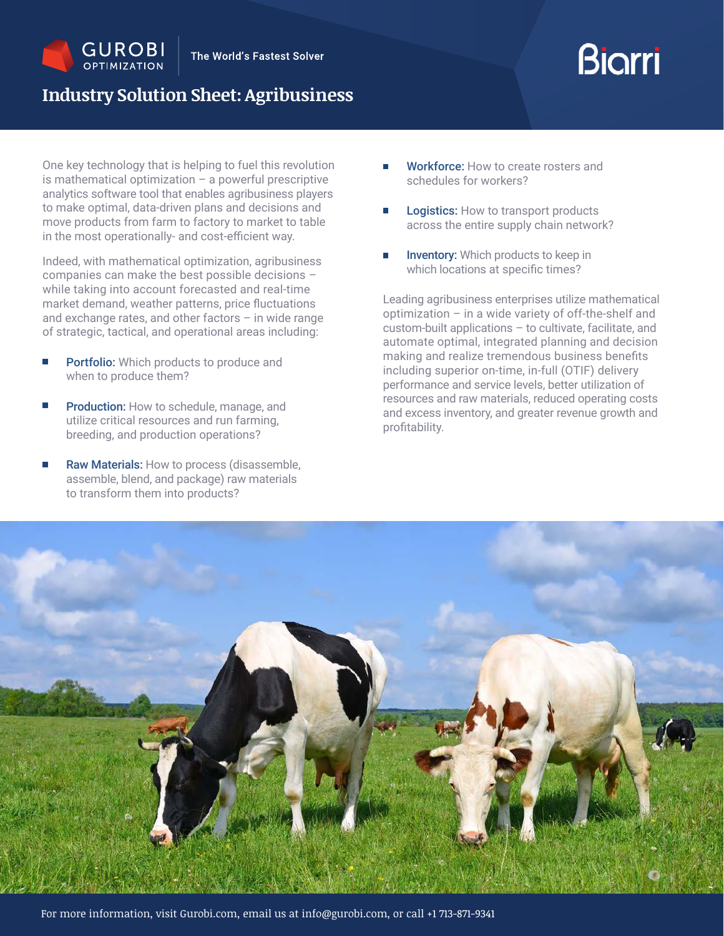

# **Biarri**

## **Industry Solution Sheet: Agribusiness**

One key technology that is helping to fuel this revolution is mathematical optimization  $-$  a powerful prescriptive analytics software tool that enables agribusiness players to make optimal, data-driven plans and decisions and move products from farm to factory to market to table in the most operationally- and cost-efficient way.

Indeed, with mathematical optimization, agribusiness companies can make the best possible decisions – while taking into account forecasted and real-time market demand, weather patterns, price fluctuations and exchange rates, and other factors – in wide range of strategic, tactical, and operational areas including:

- Portfolio: Which products to produce and when to produce them?
- П Production: How to schedule, manage, and utilize critical resources and run farming, breeding, and production operations?
- П Raw Materials: How to process (disassemble, assemble, blend, and package) raw materials to transform them into products?
- Workforce: How to create rosters and schedules for workers?
- Logistics: How to transport products across the entire supply chain network?
- **Inventory:** Which products to keep in which locations at specific times?

Leading agribusiness enterprises utilize mathematical optimization – in a wide variety of off-the-shelf and custom-built applications – to cultivate, facilitate, and automate optimal, integrated planning and decision making and realize tremendous business benefits including superior on-time, in-full (OTIF) delivery performance and service levels, better utilization of resources and raw materials, reduced operating costs and excess inventory, and greater revenue growth and profitability.

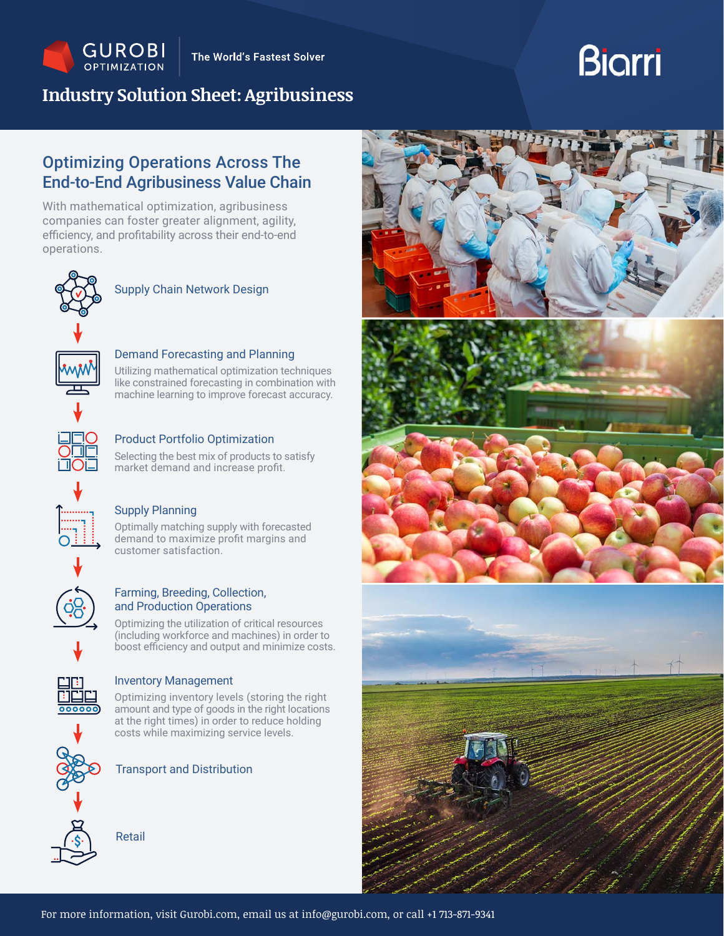

## **Industry Solution Sheet: Agribusiness**

# **Biarri**

## Optimizing Operations Across The End-to-End Agribusiness Value Chain

With mathematical optimization, agribusiness companies can foster greater alignment, agility, efficiency, and profitability across their end-to-end operations.



### Supply Chain Network Design

#### Demand Forecasting and Planning

Utilizing mathematical optimization techniques like constrained forecasting in combination with machine learning to improve forecast accuracy.

Product Portfolio Optimization Selecting the best mix of products to satisfy market demand and increase profit.

#### Supply Planning

Optimally matching supply with forecasted demand to maximize profit margins and customer satisfaction.

#### Farming, Breeding, Collection, and Production Operations

Optimizing the utilization of critical resources (including workforce and machines) in order to boost efficiency and output and minimize costs.



#### Inventory Management

Optimizing inventory levels (storing the right amount and type of goods in the right locations at the right times) in order to reduce holding costs while maximizing service levels.



Transport and Distribution



Retail